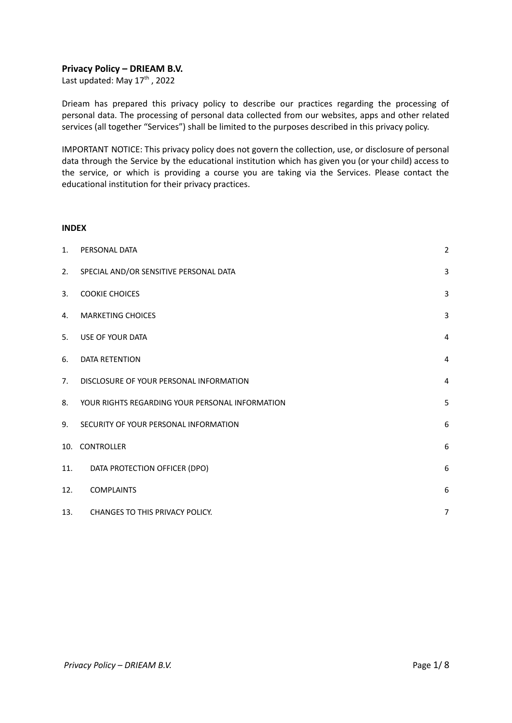## **Privacy Policy – DRIEAM B.V.**

Last updated: May 17<sup>th</sup>, 2022

Drieam has prepared this privacy policy to describe our practices regarding the processing of personal data. The processing of personal data collected from our websites, apps and other related services (all together "Services") shall be limited to the purposes described in this privacy policy.

IMPORTANT NOTICE: This privacy policy does not govern the collection, use, or disclosure of personal data through the Service by the educational institution which has given you (or your child) access to the service, or which is providing a course you are taking via the Services. Please contact the educational institution for their privacy practices.

### **INDEX**

| 1.             | PERSONAL DATA                                   | $\overline{2}$ |
|----------------|-------------------------------------------------|----------------|
| 2.             | SPECIAL AND/OR SENSITIVE PERSONAL DATA          | 3              |
| 3.             | <b>COOKIE CHOICES</b>                           | $\overline{3}$ |
| $\mathbf{4}$ . | <b>MARKETING CHOICES</b>                        | 3              |
| 5.             | USE OF YOUR DATA                                | $\overline{4}$ |
| 6.             | DATA RETENTION                                  | $\overline{4}$ |
| 7.             | DISCLOSURE OF YOUR PERSONAL INFORMATION         | $\overline{4}$ |
| 8.             | YOUR RIGHTS REGARDING YOUR PERSONAL INFORMATION | 5              |
| 9.             | SECURITY OF YOUR PERSONAL INFORMATION           | $6\,$          |
| 10.            | <b>CONTROLLER</b>                               | 6              |
| 11.            | DATA PROTECTION OFFICER (DPO)                   | 6              |
| 12.            | <b>COMPLAINTS</b>                               | 6              |
| 13.            | CHANGES TO THIS PRIVACY POLICY.                 | $\overline{7}$ |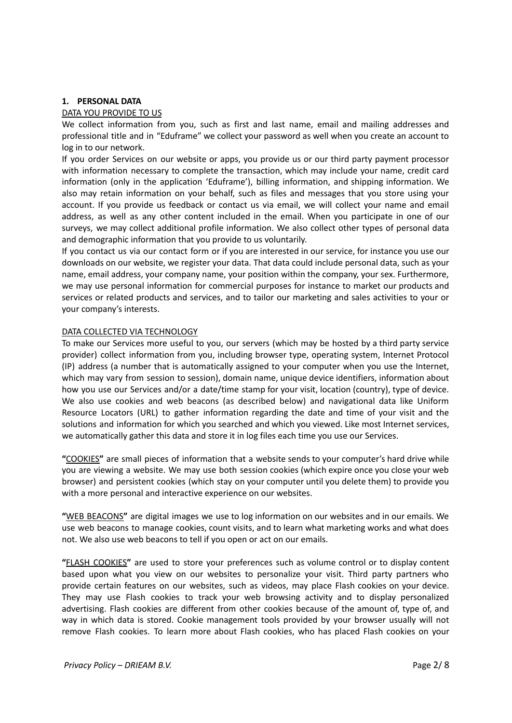## <span id="page-1-0"></span>**1. PERSONAL DATA**

## DATA YOU PROVIDE TO US

We collect information from you, such as first and last name, email and mailing addresses and professional title and in "Eduframe" we collect your password as well when you create an account to log in to our network.

If you order Services on our website or apps, you provide us or our third party payment processor with information necessary to complete the transaction, which may include your name, credit card information (only in the application 'Eduframe'), billing information, and shipping information. We also may retain information on your behalf, such as files and messages that you store using your account. If you provide us feedback or contact us via email, we will collect your name and email address, as well as any other content included in the email. When you participate in one of our surveys, we may collect additional profile information. We also collect other types of personal data and demographic information that you provide to us voluntarily.

If you contact us via our contact form or if you are interested in our service, for instance you use our downloads on our website, we register your data. That data could include personal data, such as your name, email address, your company name, your position within the company, your sex. Furthermore, we may use personal information for commercial purposes for instance to market our products and services or related products and services, and to tailor our marketing and sales activities to your or your company's interests.

## DATA COLLECTED VIA TECHNOLOGY

To make our Services more useful to you, our servers (which may be hosted by a third party service provider) collect information from you, including browser type, operating system, Internet Protocol (IP) address (a number that is automatically assigned to your computer when you use the Internet, which may vary from session to session), domain name, unique device identifiers, information about how you use our Services and/or a date/time stamp for your visit, location (country), type of device. We also use cookies and web beacons (as described below) and navigational data like Uniform Resource Locators (URL) to gather information regarding the date and time of your visit and the solutions and information for which you searched and which you viewed. Like most Internet services, we automatically gather this data and store it in log files each time you use our Services.

**"**COOKIES**"** are small pieces of information that a website sends to your computer's hard drive while you are viewing a website. We may use both session cookies (which expire once you close your web browser) and persistent cookies (which stay on your computer until you delete them) to provide you with a more personal and interactive experience on our websites.

**"**WEB BEACONS**"** are digital images we use to log information on our websites and in our emails. We use web beacons to manage cookies, count visits, and to learn what marketing works and what does not. We also use web beacons to tell if you open or act on our emails.

**"**FLASH COOKIES**"** are used to store your preferences such as volume control or to display content based upon what you view on our websites to personalize your visit. Third party partners who provide certain features on our websites, such as videos, may place Flash cookies on your device. They may use Flash cookies to track your web browsing activity and to display personalized advertising. Flash cookies are different from other cookies because of the amount of, type of, and way in which data is stored. Cookie management tools provided by your browser usually will not remove Flash cookies. To learn more about Flash cookies, who has placed Flash cookies on your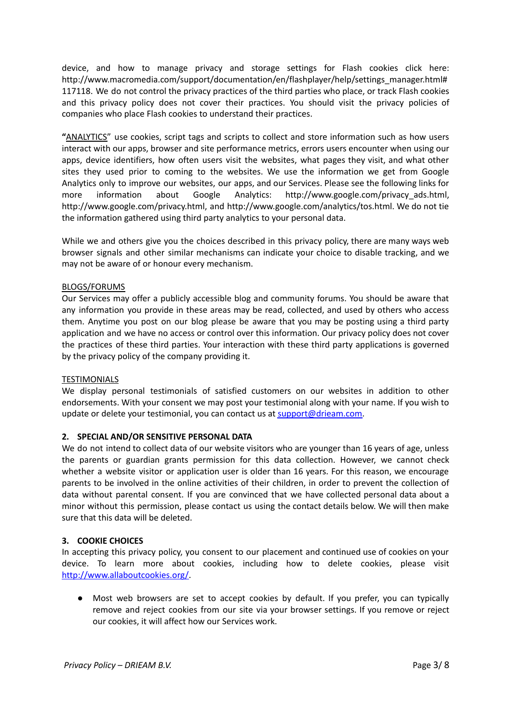device, and how to manage privacy and storage settings for Flash cookies click here: http://www.macromedia.com/support/documentation/en/flashplayer/help/settings\_manager.html# 117118. We do not control the privacy practices of the third parties who place, or track Flash cookies and this privacy policy does not cover their practices. You should visit the privacy policies of companies who place Flash cookies to understand their practices.

**"**ANALYTICS" use cookies, script tags and scripts to collect and store information such as how users interact with our apps, browser and site performance metrics, errors users encounter when using our apps, device identifiers, how often users visit the websites, what pages they visit, and what other sites they used prior to coming to the websites. We use the information we get from Google Analytics only to improve our websites, our apps, and our Services. Please see the following links for more information about Google Analytics: http://www.google.com/privacy\_ads.html, http://www.google.com/privacy.html, and http://www.google.com/analytics/tos.html. We do not tie the information gathered using third party analytics to your personal data.

While we and others give you the choices described in this privacy policy, there are many ways web browser signals and other similar mechanisms can indicate your choice to disable tracking, and we may not be aware of or honour every mechanism.

## BLOGS/FORUMS

Our Services may offer a publicly accessible blog and community forums. You should be aware that any information you provide in these areas may be read, collected, and used by others who access them. Anytime you post on our blog please be aware that you may be posting using a third party application and we have no access or control over this information. Our privacy policy does not cover the practices of these third parties. Your interaction with these third party applications is governed by the privacy policy of the company providing it.

## **TESTIMONIALS**

We display personal testimonials of satisfied customers on our websites in addition to other endorsements. With your consent we may post your testimonial along with your name. If you wish to update or delete your testimonial, you can contact us at [support@drieam.com.](mailto:support@drieam.com)

## <span id="page-2-0"></span>**2. SPECIAL AND/OR SENSITIVE PERSONAL DATA**

We do not intend to collect data of our website visitors who are younger than 16 years of age, unless the parents or guardian grants permission for this data collection. However, we cannot check whether a website visitor or application user is older than 16 years. For this reason, we encourage parents to be involved in the online activities of their children, in order to prevent the collection of data without parental consent. If you are convinced that we have collected personal data about a minor without this permission, please contact us using the contact details below. We will then make sure that this data will be deleted.

## <span id="page-2-1"></span>**3. COOKIE CHOICES**

In accepting this privacy policy, you consent to our placement and continued use of cookies on your device. To learn more about cookies, including how to delete cookies, please visit [http://www.allaboutcookies.org/.](http://www.allaboutcookies.org/)

● Most web browsers are set to accept cookies by default. If you prefer, you can typically remove and reject cookies from our site via your browser settings. If you remove or reject our cookies, it will affect how our Services work.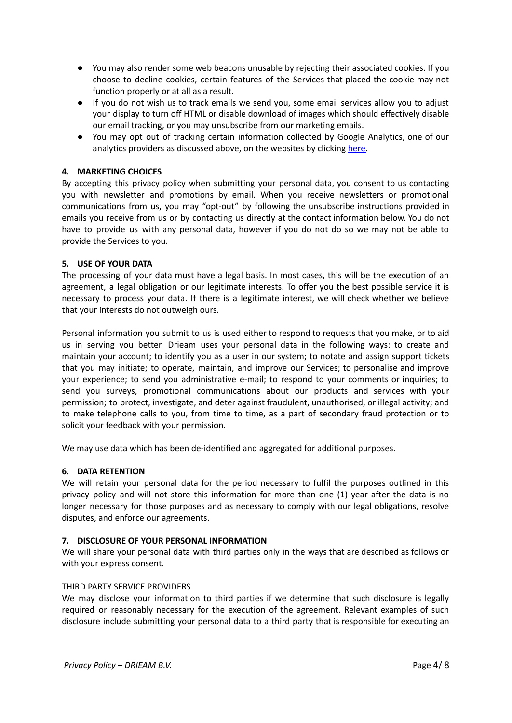- You may also render some web beacons unusable by rejecting their associated cookies. If you choose to decline cookies, certain features of the Services that placed the cookie may not function properly or at all as a result.
- If you do not wish us to track emails we send you, some email services allow you to adjust your display to turn off HTML or disable download of images which should effectively disable our email tracking, or you may unsubscribe from our marketing emails.
- You may opt out of tracking certain information collected by Google Analytics, one of our analytics providers as discussed above, on the websites by clicking [here.](https://tools.google.com/dlpage/gaoptout)

# <span id="page-3-0"></span>**4. MARKETING CHOICES**

By accepting this privacy policy when submitting your personal data, you consent to us contacting you with newsletter and promotions by email. When you receive newsletters or promotional communications from us, you may "opt-out" by following the unsubscribe instructions provided in emails you receive from us or by contacting us directly at the contact information below. You do not have to provide us with any personal data, however if you do not do so we may not be able to provide the Services to you.

# <span id="page-3-1"></span>**5. USE OF YOUR DATA**

The processing of your data must have a legal basis. In most cases, this will be the execution of an agreement, a legal obligation or our legitimate interests. To offer you the best possible service it is necessary to process your data. If there is a legitimate interest, we will check whether we believe that your interests do not outweigh ours.

Personal information you submit to us is used either to respond to requests that you make, or to aid us in serving you better. Drieam uses your personal data in the following ways: to create and maintain your account; to identify you as a user in our system; to notate and assign support tickets that you may initiate; to operate, maintain, and improve our Services; to personalise and improve your experience; to send you administrative e-mail; to respond to your comments or inquiries; to send you surveys, promotional communications about our products and services with your permission; to protect, investigate, and deter against fraudulent, unauthorised, or illegal activity; and to make telephone calls to you, from time to time, as a part of secondary fraud protection or to solicit your feedback with your permission.

We may use data which has been de-identified and aggregated for additional purposes.

## <span id="page-3-2"></span>**6. DATA RETENTION**

We will retain your personal data for the period necessary to fulfil the purposes outlined in this privacy policy and will not store this information for more than one (1) year after the data is no longer necessary for those purposes and as necessary to comply with our legal obligations, resolve disputes, and enforce our agreements.

## <span id="page-3-3"></span>**7. DISCLOSURE OF YOUR PERSONAL INFORMATION**

We will share your personal data with third parties only in the ways that are described as follows or with your express consent.

## THIRD PARTY SERVICE PROVIDERS

We may disclose your information to third parties if we determine that such disclosure is legally required or reasonably necessary for the execution of the agreement. Relevant examples of such disclosure include submitting your personal data to a third party that is responsible for executing an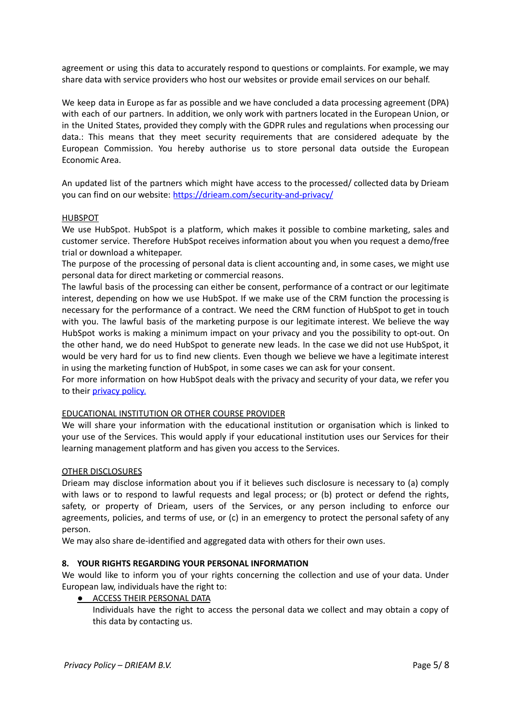agreement or using this data to accurately respond to questions or complaints. For example, we may share data with service providers who host our websites or provide email services on our behalf.

We keep data in Europe as far as possible and we have concluded a data processing agreement (DPA) with each of our partners. In addition, we only work with partners located in the European Union, or in the United States, provided they comply with the GDPR rules and regulations when processing our data.: This means that they meet security requirements that are considered adequate by the European Commission. You hereby authorise us to store personal data outside the European Economic Area.

An updated list of the partners which might have access to the processed/ collected data by Drieam you can find on our website: <https://drieam.com/security-and-privacy/>

### **HUBSPOT**

We use HubSpot. HubSpot is a platform, which makes it possible to combine marketing, sales and customer service. Therefore HubSpot receives information about you when you request a demo/free trial or download a whitepaper.

The purpose of the processing of personal data is client accounting and, in some cases, we might use personal data for direct marketing or commercial reasons.

The lawful basis of the processing can either be consent, performance of a contract or our legitimate interest, depending on how we use HubSpot. If we make use of the CRM function the processing is necessary for the performance of a contract. We need the CRM function of HubSpot to get in touch with you. The lawful basis of the marketing purpose is our legitimate interest. We believe the way HubSpot works is making a minimum impact on your privacy and you the possibility to opt-out. On the other hand, we do need HubSpot to generate new leads. In the case we did not use HubSpot, it would be very hard for us to find new clients. Even though we believe we have a legitimate interest in using the marketing function of HubSpot, in some cases we can ask for your consent.

For more information on how HubSpot deals with the privacy and security of your data, we refer you to their [privacy](https://legal.hubspot.com/privacy-policy) policy.

### EDUCATIONAL INSTITUTION OR OTHER COURSE PROVIDER

We will share your information with the educational institution or organisation which is linked to your use of the Services. This would apply if your educational institution uses our Services for their learning management platform and has given you access to the Services.

### OTHER DISCLOSURES

Drieam may disclose information about you if it believes such disclosure is necessary to (a) comply with laws or to respond to lawful requests and legal process; or (b) protect or defend the rights, safety, or property of Drieam, users of the Services, or any person including to enforce our agreements, policies, and terms of use, or (c) in an emergency to protect the personal safety of any person.

We may also share de-identified and aggregated data with others for their own uses.

## <span id="page-4-0"></span>**8. YOUR RIGHTS REGARDING YOUR PERSONAL INFORMATION**

We would like to inform you of your rights concerning the collection and use of your data. Under European law, individuals have the right to:

**• ACCESS THEIR PERSONAL DATA** 

Individuals have the right to access the personal data we collect and may obtain a copy of this data by contacting us.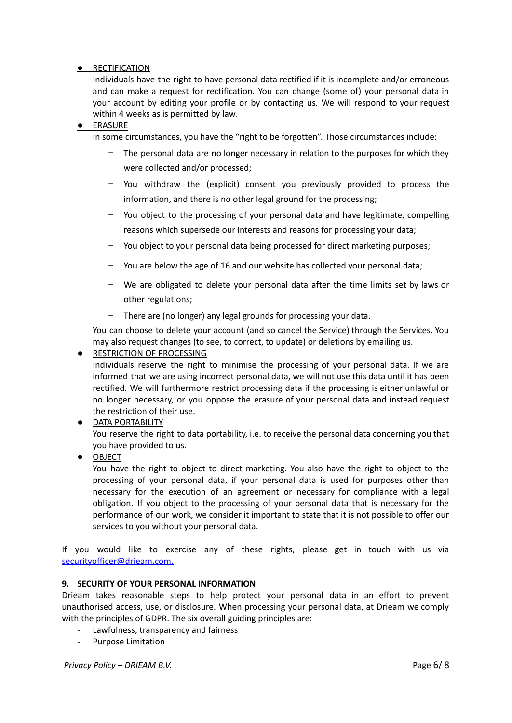# ● RECTIFICATION

Individuals have the right to have personal data rectified if it is incomplete and/or erroneous and can make a request for rectification. You can change (some of) your personal data in your account by editing your profile or by contacting us. We will respond to your request within 4 weeks as is permitted by law.

# ● ERASURE

In some circumstances, you have the "right to be forgotten". Those circumstances include:

- − The personal data are no longer necessary in relation to the purposes for which they were collected and/or processed;
- − You withdraw the (explicit) consent you previously provided to process the information, and there is no other legal ground for the processing;
- − You object to the processing of your personal data and have legitimate, compelling reasons which supersede our interests and reasons for processing your data;
- − You object to your personal data being processed for direct marketing purposes;
- − You are below the age of 16 and our website has collected your personal data;
- − We are obligated to delete your personal data after the time limits set by laws or other regulations;
- There are (no longer) any legal grounds for processing your data.

You can choose to delete your account (and so cancel the Service) through the Services. You may also request changes (to see, to correct, to update) or deletions by emailing us.

● RESTRICTION OF PROCESSING

Individuals reserve the right to minimise the processing of your personal data. If we are informed that we are using incorrect personal data, we will not use this data until it has been rectified. We will furthermore restrict processing data if the processing is either unlawful or no longer necessary, or you oppose the erasure of your personal data and instead request the restriction of their use.

● DATA PORTABILITY

You reserve the right to data portability, i.e. to receive the personal data concerning you that you have provided to us.

● OBJECT

You have the right to object to direct marketing. You also have the right to object to the processing of your personal data, if your personal data is used for purposes other than necessary for the execution of an agreement or necessary for compliance with a legal obligation. If you object to the processing of your personal data that is necessary for the performance of our work, we consider it important to state that it is not possible to offer our services to you without your personal data.

If you would like to exercise any of these rights, please get in touch with us via [securityofficer@drieam.com](mailto:securityofficer@drieam.com).

## <span id="page-5-0"></span>**9. SECURITY OF YOUR PERSONAL INFORMATION**

Drieam takes reasonable steps to help protect your personal data in an effort to prevent unauthorised access, use, or disclosure. When processing your personal data, at Drieam we comply with the principles of GDPR. The six overall guiding principles are:

- Lawfulness, transparency and fairness
- Purpose Limitation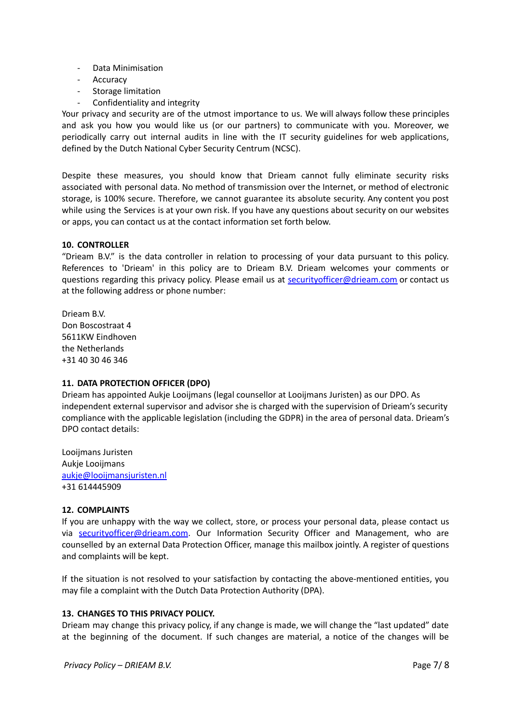- Data Minimisation
- Accuracy
- Storage limitation
- Confidentiality and integrity

Your privacy and security are of the utmost importance to us. We will always follow these principles and ask you how you would like us (or our partners) to communicate with you. Moreover, we periodically carry out internal audits in line with the IT security guidelines for web applications, defined by the Dutch National Cyber Security Centrum (NCSC).

Despite these measures, you should know that Drieam cannot fully eliminate security risks associated with personal data. No method of transmission over the Internet, or method of electronic storage, is 100% secure. Therefore, we cannot guarantee its absolute security. Any content you post while using the Services is at your own risk. If you have any questions about security on our websites or apps, you can contact us at the contact information set forth below.

## <span id="page-6-0"></span>**10. CONTROLLER**

"Drieam B.V." is the data controller in relation to processing of your data pursuant to this policy. References to 'Drieam' in this policy are to Drieam B.V. Drieam welcomes your comments or questions regarding this privacy policy. Please email us at [securityofficer@drieam.com](mailto:securityofficer@drieam.com) or contact us at the following address or phone number:

Drieam B.V. Don Boscostraat 4 5611KW Eindhoven the Netherlands +31 40 30 46 346

## <span id="page-6-1"></span>**11. DATA PROTECTION OFFICER (DPO)**

Drieam has appointed Aukje Looijmans (legal counsellor at Looijmans Juristen) as our DPO. As independent external supervisor and advisor she is charged with the supervision of Drieam's security compliance with the applicable legislation (including the GDPR) in the area of personal data. Drieam's DPO contact details:

Looijmans Juristen Aukje Looijmans [aukje@looijmansjuristen.nl](mailto:aukje@looijmansjuristen.nl) +31 614445909

## <span id="page-6-2"></span>**12. COMPLAINTS**

If you are unhappy with the way we collect, store, or process your personal data, please contact us via [securityofficer@drieam.com](mailto:securityofficer@drieam.com). Our Information Security Officer and Management, who are counselled by an external Data Protection Officer, manage this mailbox jointly. A register of questions and complaints will be kept.

If the situation is not resolved to your satisfaction by contacting the above-mentioned entities, you may file a complaint with the Dutch Data Protection Authority (DPA).

## <span id="page-6-3"></span>**13. CHANGES TO THIS PRIVACY POLICY.**

Drieam may change this privacy policy, if any change is made, we will change the "last updated" date at the beginning of the document. If such changes are material, a notice of the changes will be